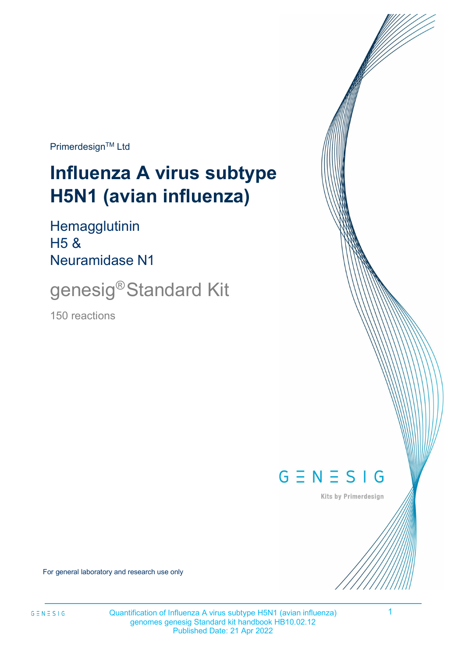Primerdesign™ Ltd

# **Influenza A virus subtype H5N1 (avian influenza)**

**Hemagglutinin** H5 & Neuramidase N1

genesig®Standard Kit

150 reactions



Kits by Primerdesign

For general laboratory and research use only

1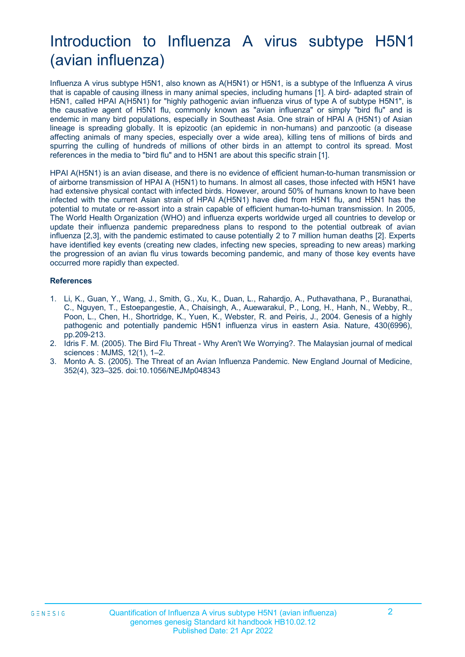# Introduction to Influenza A virus subtype H5N1 (avian influenza)

Influenza A virus subtype H5N1, also known as A(H5N1) or H5N1, is a subtype of the Influenza A virus that is capable of causing illness in many animal species, including humans [1]. A bird- adapted strain of H5N1, called HPAI A(H5N1) for "highly pathogenic avian influenza virus of type A of subtype H5N1", is the causative agent of H5N1 flu, commonly known as "avian influenza" or simply "bird flu" and is endemic in many bird populations, especially in Southeast Asia. One strain of HPAI A (H5N1) of Asian lineage is spreading globally. It is epizootic (an epidemic in non-humans) and panzootic (a disease affecting animals of many species, especially over a wide area), killing tens of millions of birds and spurring the culling of hundreds of millions of other birds in an attempt to control its spread. Most references in the media to "bird flu" and to H5N1 are about this specific strain [1].

HPAI A(H5N1) is an avian disease, and there is no evidence of efficient human-to-human transmission or of airborne transmission of HPAI A (H5N1) to humans. In almost all cases, those infected with H5N1 have had extensive physical contact with infected birds. However, around 50% of humans known to have been infected with the current Asian strain of HPAI A(H5N1) have died from H5N1 flu, and H5N1 has the potential to mutate or re-assort into a strain capable of efficient human-to-human transmission. In 2005, The World Health Organization (WHO) and influenza experts worldwide urged all countries to develop or update their influenza pandemic preparedness plans to respond to the potential outbreak of avian influenza [2,3], with the pandemic estimated to cause potentially 2 to 7 million human deaths [2]. Experts have identified key events (creating new clades, infecting new species, spreading to new areas) marking the progression of an avian flu virus towards becoming pandemic, and many of those key events have occurred more rapidly than expected.

#### **References**

- 1. Li, K., Guan, Y., Wang, J., Smith, G., Xu, K., Duan, L., Rahardjo, A., Puthavathana, P., Buranathai, C., Nguyen, T., Estoepangestie, A., Chaisingh, A., Auewarakul, P., Long, H., Hanh, N., Webby, R., Poon, L., Chen, H., Shortridge, K., Yuen, K., Webster, R. and Peiris, J., 2004. Genesis of a highly pathogenic and potentially pandemic H5N1 influenza virus in eastern Asia. Nature, 430(6996), pp.209-213.
- 2. Idris F. M. (2005). The Bird Flu Threat Why Aren't We Worrying?. The Malaysian journal of medical sciences : MJMS, 12(1), 1–2.
- 3. Monto A. S. (2005). The Threat of an Avian Influenza Pandemic. New England Journal of Medicine, 352(4), 323–325. doi:10.1056/NEJMp048343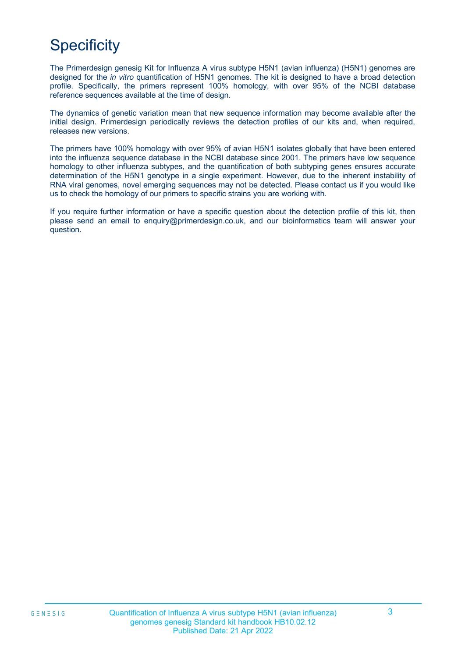# **Specificity**

The Primerdesign genesig Kit for Influenza A virus subtype H5N1 (avian influenza) (H5N1) genomes are designed for the *in vitro* quantification of H5N1 genomes. The kit is designed to have a broad detection profile. Specifically, the primers represent 100% homology, with over 95% of the NCBI database reference sequences available at the time of design.

The dynamics of genetic variation mean that new sequence information may become available after the initial design. Primerdesign periodically reviews the detection profiles of our kits and, when required, releases new versions.

The primers have 100% homology with over 95% of avian H5N1 isolates globally that have been entered into the influenza sequence database in the NCBI database since 2001. The primers have low sequence homology to other influenza subtypes, and the quantification of both subtyping genes ensures accurate determination of the H5N1 genotype in a single experiment. However, due to the inherent instability of RNA viral genomes, novel emerging sequences may not be detected. Please contact us if you would like us to check the homology of our primers to specific strains you are working with.

If you require further information or have a specific question about the detection profile of this kit, then please send an email to [enquiry@primerdesign.co.uk, a](mailto:enquiry@primerdesign.co.uk)nd our bioinformatics team will answer your question.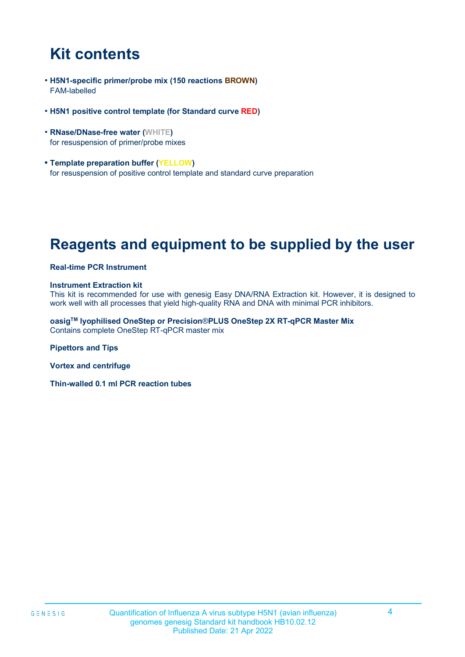# **Kit contents**

- **H5N1-specific primer/probe mix (150 reactions BROWN)** FAM-labelled
- **H5N1 positive control template (for Standard curve RED)**
- **RNase/DNase-free water (WHITE)** for resuspension of primer/probe mixes
- **• Template preparation buffer (YELLOW)** for resuspension of positive control template and standard curve preparation

### **Reagents and equipment to be supplied by the user**

#### **Real-time PCR Instrument**

#### **Instrument Extraction kit**

This kit is recommended for use with genesig Easy DNA/RNA Extraction kit. However, it is designed to work well with all processes that yield high-quality RNA and DNA with minimal PCR inhibitors.

**oasigTM lyophilised OneStep or Precision**®**PLUS OneStep 2X RT-qPCR Master Mix** Contains complete OneStep RT-qPCR master mix

**Pipettors and Tips** 

**Vortex and centrifuge**

**Thin-walled 0.1 ml PCR reaction tubes**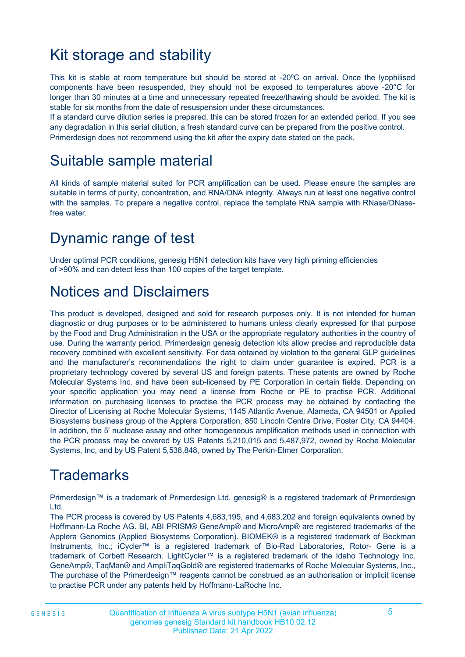# Kit storage and stability

This kit is stable at room temperature but should be stored at -20ºC on arrival. Once the lyophilised components have been resuspended, they should not be exposed to temperatures above -20°C for longer than 30 minutes at a time and unnecessary repeated freeze/thawing should be avoided. The kit is stable for six months from the date of resuspension under these circumstances.

If a standard curve dilution series is prepared, this can be stored frozen for an extended period. If you see any degradation in this serial dilution, a fresh standard curve can be prepared from the positive control. Primerdesign does not recommend using the kit after the expiry date stated on the pack.

### Suitable sample material

All kinds of sample material suited for PCR amplification can be used. Please ensure the samples are suitable in terms of purity, concentration, and RNA/DNA integrity. Always run at least one negative control with the samples. To prepare a negative control, replace the template RNA sample with RNase/DNasefree water.

### Dynamic range of test

Under optimal PCR conditions, genesig H5N1 detection kits have very high priming efficiencies of >90% and can detect less than 100 copies of the target template.

### Notices and Disclaimers

This product is developed, designed and sold for research purposes only. It is not intended for human diagnostic or drug purposes or to be administered to humans unless clearly expressed for that purpose by the Food and Drug Administration in the USA or the appropriate regulatory authorities in the country of use. During the warranty period, Primerdesign genesig detection kits allow precise and reproducible data recovery combined with excellent sensitivity. For data obtained by violation to the general GLP guidelines and the manufacturer's recommendations the right to claim under guarantee is expired. PCR is a proprietary technology covered by several US and foreign patents. These patents are owned by Roche Molecular Systems Inc. and have been sub-licensed by PE Corporation in certain fields. Depending on your specific application you may need a license from Roche or PE to practise PCR. Additional information on purchasing licenses to practise the PCR process may be obtained by contacting the Director of Licensing at Roche Molecular Systems, 1145 Atlantic Avenue, Alameda, CA 94501 or Applied Biosystems business group of the Applera Corporation, 850 Lincoln Centre Drive, Foster City, CA 94404. In addition, the 5' nuclease assay and other homogeneous amplification methods used in connection with the PCR process may be covered by US Patents 5,210,015 and 5,487,972, owned by Roche Molecular Systems, Inc, and by US Patent 5,538,848, owned by The Perkin-Elmer Corporation.

### **Trademarks**

Primerdesign™ is a trademark of Primerdesign Ltd. genesig® is a registered trademark of Primerdesign Ltd.

The PCR process is covered by US Patents 4,683,195, and 4,683,202 and foreign equivalents owned by Hoffmann-La Roche AG. BI, ABI PRISM® GeneAmp® and MicroAmp® are registered trademarks of the Applera Genomics (Applied Biosystems Corporation). BIOMEK® is a registered trademark of Beckman Instruments, Inc.; iCycler™ is a registered trademark of Bio-Rad Laboratories, Rotor- Gene is a trademark of Corbett Research. LightCycler™ is a registered trademark of the Idaho Technology Inc. GeneAmp®, TaqMan® and AmpliTaqGold® are registered trademarks of Roche Molecular Systems, Inc., The purchase of the Primerdesign™ reagents cannot be construed as an authorisation or implicit license to practise PCR under any patents held by Hoffmann-LaRoche Inc.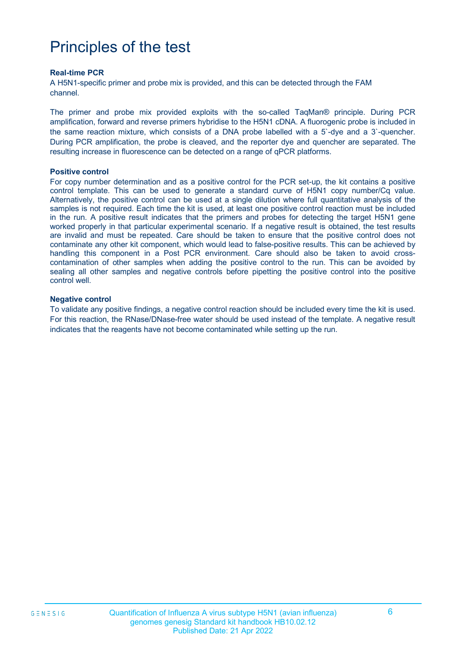### Principles of the test

#### **Real-time PCR**

A H5N1-specific primer and probe mix is provided, and this can be detected through the FAM channel.

The primer and probe mix provided exploits with the so-called TaqMan® principle. During PCR amplification, forward and reverse primers hybridise to the H5N1 cDNA. A fluorogenic probe is included in the same reaction mixture, which consists of a DNA probe labelled with a 5`-dye and a 3`-quencher. During PCR amplification, the probe is cleaved, and the reporter dye and quencher are separated. The resulting increase in fluorescence can be detected on a range of qPCR platforms.

#### **Positive control**

For copy number determination and as a positive control for the PCR set-up, the kit contains a positive control template. This can be used to generate a standard curve of H5N1 copy number/Cq value. Alternatively, the positive control can be used at a single dilution where full quantitative analysis of the samples is not required. Each time the kit is used, at least one positive control reaction must be included in the run. A positive result indicates that the primers and probes for detecting the target H5N1 gene worked properly in that particular experimental scenario. If a negative result is obtained, the test results are invalid and must be repeated. Care should be taken to ensure that the positive control does not contaminate any other kit component, which would lead to false-positive results. This can be achieved by handling this component in a Post PCR environment. Care should also be taken to avoid crosscontamination of other samples when adding the positive control to the run. This can be avoided by sealing all other samples and negative controls before pipetting the positive control into the positive control well.

#### **Negative control**

To validate any positive findings, a negative control reaction should be included every time the kit is used. For this reaction, the RNase/DNase-free water should be used instead of the template. A negative result indicates that the reagents have not become contaminated while setting up the run.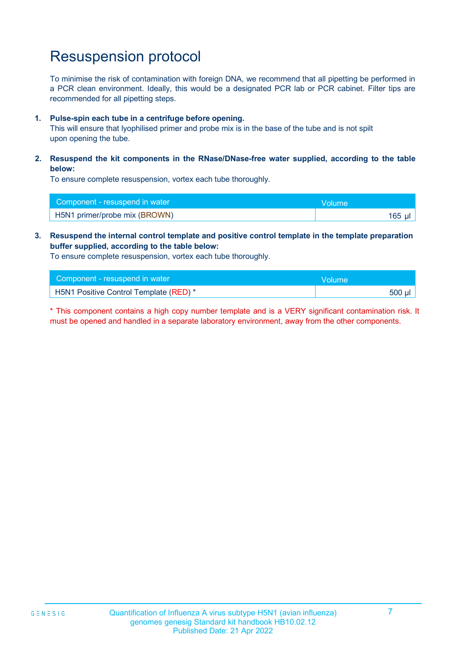# Resuspension protocol

To minimise the risk of contamination with foreign DNA, we recommend that all pipetting be performed in a PCR clean environment. Ideally, this would be a designated PCR lab or PCR cabinet. Filter tips are recommended for all pipetting steps.

### **1. Pulse-spin each tube in a centrifuge before opening.**

This will ensure that lyophilised primer and probe mix is in the base of the tube and is not spilt upon opening the tube.

### **2. Resuspend the kit components in the RNase/DNase-free water supplied, according to the table below:**

To ensure complete resuspension, vortex each tube thoroughly.

| Component - resuspend in water | <b>Nolume</b> |
|--------------------------------|---------------|
| H5N1 primer/probe mix (BROWN)  | $165$ µl      |

### **3. Resuspend the internal control template and positive control template in the template preparation buffer supplied, according to the table below:**

To ensure complete resuspension, vortex each tube thoroughly.

| Component - resuspend in water         | Volume   |
|----------------------------------------|----------|
| H5N1 Positive Control Template (RED) * | $500$ µl |

\* This component contains a high copy number template and is a VERY significant contamination risk. It must be opened and handled in a separate laboratory environment, away from the other components.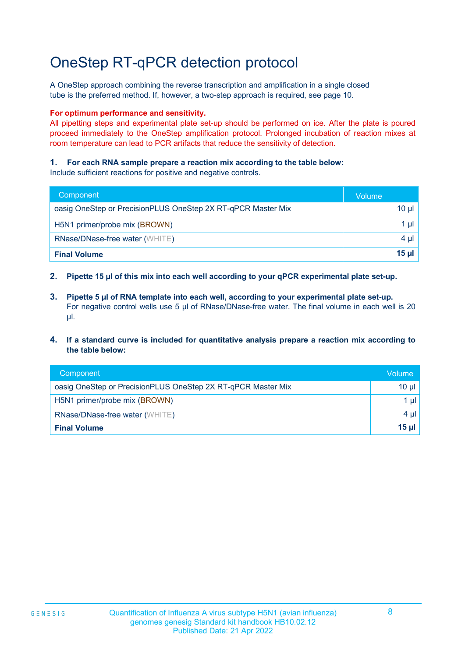### OneStep RT-qPCR detection protocol

A OneStep approach combining the reverse transcription and amplification in a single closed tube is the preferred method. If, however, a two-step approach is required, see page 10.

#### **For optimum performance and sensitivity.**

All pipetting steps and experimental plate set-up should be performed on ice. After the plate is poured proceed immediately to the OneStep amplification protocol. Prolonged incubation of reaction mixes at room temperature can lead to PCR artifacts that reduce the sensitivity of detection.

### **1. For each RNA sample prepare a reaction mix according to the table below:**

Include sufficient reactions for positive and negative controls.

| Component                                                    | Volume   |
|--------------------------------------------------------------|----------|
| oasig OneStep or PrecisionPLUS OneStep 2X RT-qPCR Master Mix | 10 µl    |
| H5N1 primer/probe mix (BROWN)                                | 1 µI     |
| RNase/DNase-free water (WHITE)                               | $4 \mu$  |
| <b>Final Volume</b>                                          | $15 \mu$ |

- **2. Pipette 15 µl of this mix into each well according to your qPCR experimental plate set-up.**
- **3. Pipette 5 µl of RNA template into each well, according to your experimental plate set-up.** For negative control wells use 5 µl of RNase/DNase-free water. The final volume in each well is 20 µl.
- **4. If a standard curve is included for quantitative analysis prepare a reaction mix according to the table below:**

| Component                                                    | <b>Volume</b> |
|--------------------------------------------------------------|---------------|
| oasig OneStep or PrecisionPLUS OneStep 2X RT-qPCR Master Mix | $10 \mu$      |
| H5N1 primer/probe mix (BROWN)                                | $1 \mu$       |
| <b>RNase/DNase-free water (WHITE)</b>                        | 4 µ $\vert$   |
| <b>Final Volume</b>                                          | $15 \mu$      |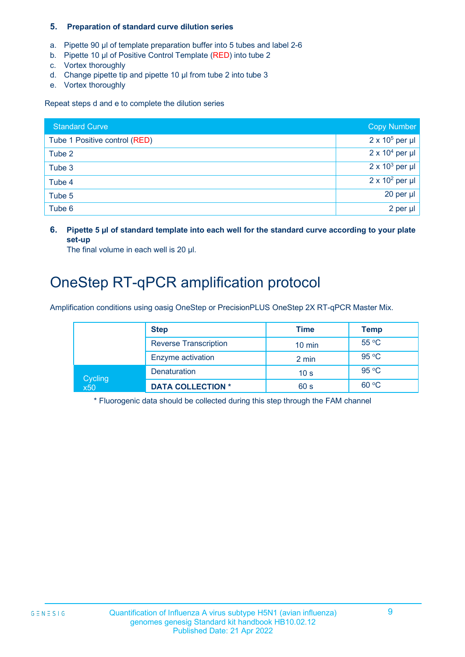### **5. Preparation of standard curve dilution series**

- a. Pipette 90 µl of template preparation buffer into 5 tubes and label 2-6
- b. Pipette 10 µl of Positive Control Template (RED) into tube 2
- c. Vortex thoroughly
- d. Change pipette tip and pipette 10 µl from tube 2 into tube 3
- e. Vortex thoroughly

Repeat steps d and e to complete the dilution series

| <b>Standard Curve</b>         | <b>Copy Number</b>     |
|-------------------------------|------------------------|
| Tube 1 Positive control (RED) | $2 \times 10^5$ per µl |
| Tube 2                        | $2 \times 10^4$ per µl |
| Tube 3                        | $2 \times 10^3$ per µl |
| Tube 4                        | $2 \times 10^2$ per µl |
| Tube 5                        | $20$ per µ $\vert$     |
| Tube 6                        | 2 per $\mu$            |

**6. Pipette 5 µl of standard template into each well for the standard curve according to your plate set-up**

The final volume in each well is 20 µl.

### OneStep RT-qPCR amplification protocol

Amplification conditions using oasig OneStep or PrecisionPLUS OneStep 2X RT-qPCR Master Mix.

|                | <b>Step</b>                  | Time             | Temp  |
|----------------|------------------------------|------------------|-------|
|                | <b>Reverse Transcription</b> | $10 \text{ min}$ | 55 °C |
|                | Enzyme activation            | 2 min            | 95 °C |
| Cycling<br>x50 | <b>Denaturation</b>          | 10 <sub>s</sub>  | 95 °C |
|                | <b>DATA COLLECTION *</b>     | 60 s             | 60 °C |

\* Fluorogenic data should be collected during this step through the FAM channel